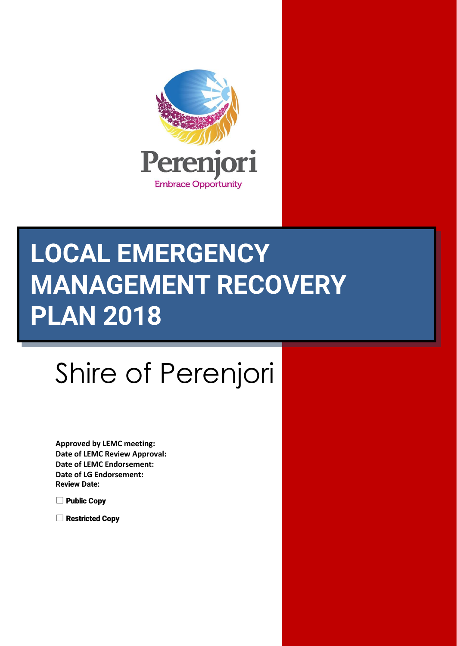

# **LOCAL EMERGENCY MANAGEMENT RECOVERY PLAN 2018**

# Shire of Perenjori

**Approved by LEMC meeting: Date of LEMC Review Approval: Date of LEMC Endorsement: Date of LG Endorsement: Review Date:** 

□ Public Copy

□ Restricted Copy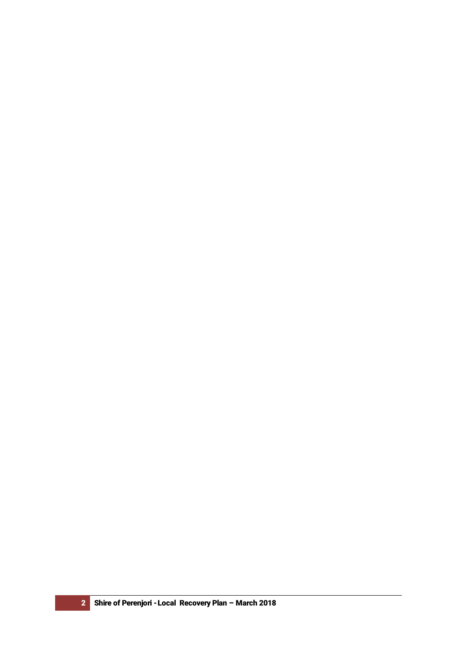# 2 Shire of Perenjori - Local Recovery Plan – March 2018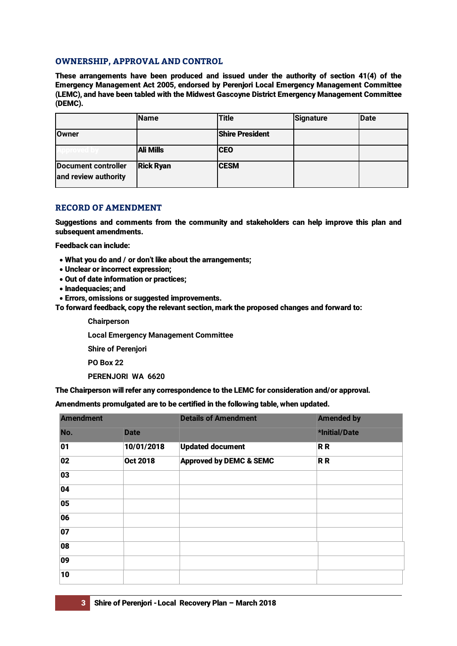#### **OWNERSHIP, APPROVAL AND CONTROL**

These arrangements have been produced and issued under the authority of section 41(4) of the Emergency Management Act 2005, endorsed by Perenjori Local Emergency Management Committee (LEMC), and have been tabled with the Midwest Gascoyne District Emergency Management Committee (DEMC).

|                                                    | <b>Name</b>      | <b>Title</b>           | <b>Signature</b> | Date |
|----------------------------------------------------|------------------|------------------------|------------------|------|
| <b>Owner</b>                                       |                  | <b>Shire President</b> |                  |      |
|                                                    | <b>Ali Mills</b> | <b>CEO</b>             |                  |      |
| <b>Document controller</b><br>and review authority | <b>Rick Ryan</b> | <b>CESM</b>            |                  |      |

## **RECORD OF AMENDMENT**

Suggestions and comments from the community and stakeholders can help improve this plan and subsequent amendments.

Feedback can include:

- What you do and / or don't like about the arrangements;
- Unclear or incorrect expression;
- Out of date information or practices;
- Inadequacies; and
- Errors, omissions or suggested improvements.

To forward feedback, copy the relevant section, mark the proposed changes and forward to:

**Chairperson**

**Local Emergency Management Committee** 

**Shire of Perenjori**

**PO Box 22**

**PERENJORI WA 6620** 

The Chairperson will refer any correspondence to the LEMC for consideration and/or approval.

Amendments promulgated are to be certified in the following table, when updated.

| <b>Amendment</b> |             | <b>Details of Amendment</b>        | <b>Amended by</b> |
|------------------|-------------|------------------------------------|-------------------|
| No.              | <b>Date</b> |                                    | *Initial/Date     |
| 01               | 10/01/2018  | <b>Updated document</b>            | <b>RR</b>         |
| 02               | Oct 2018    | <b>Approved by DEMC &amp; SEMC</b> | <b>RR</b>         |
| 03               |             |                                    |                   |
| 04               |             |                                    |                   |
| 05               |             |                                    |                   |
| 06               |             |                                    |                   |
| 07               |             |                                    |                   |
| 08               |             |                                    |                   |
| 09               |             |                                    |                   |
| 10               |             |                                    |                   |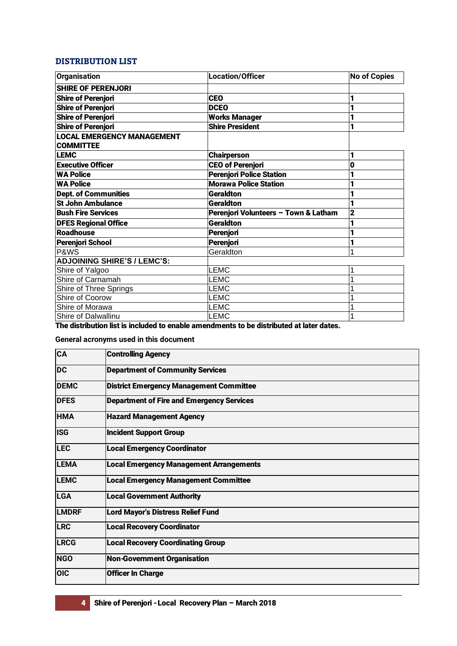# **DISTRIBUTION LIST**

| <b>Organisation</b>                | <b>Location/Officer</b>              | <b>No of Copies</b> |
|------------------------------------|--------------------------------------|---------------------|
| <b>SHIRE OF PERENJORI</b>          |                                      |                     |
| <b>Shire of Perenjori</b>          | <b>CEO</b>                           |                     |
| <b>Shire of Perenjori</b>          | <b>DCEO</b>                          |                     |
| <b>Shire of Perenjori</b>          | <b>Works Manager</b>                 |                     |
| <b>Shire of Perenjori</b>          | <b>Shire President</b>               | 1                   |
| <b>LOCAL EMERGENCY MANAGEMENT</b>  |                                      |                     |
| <b>COMMITTEE</b>                   |                                      |                     |
| <b>LEMC</b>                        | <b>Chairperson</b>                   | 1                   |
| <b>Executive Officer</b>           | <b>CEO of Perenjori</b>              | 0                   |
| <b>WA Police</b>                   | <b>Perenjori Police Station</b>      |                     |
| <b>WA Police</b>                   | <b>Morawa Police Station</b>         | 1                   |
| <b>Dept. of Communities</b>        | <b>Geraldton</b>                     |                     |
| <b>St John Ambulance</b>           | <b>Geraldton</b>                     |                     |
| <b>Bush Fire Services</b>          | Perenjori Volunteers - Town & Latham | $\overline{2}$      |
| <b>DFES Regional Office</b>        | <b>Geraldton</b>                     |                     |
| Roadhouse                          | Perenjori                            |                     |
| Perenjori School                   | Perenjori                            | 1                   |
| P&WS                               | Geraldton                            |                     |
| <b>ADJOINING SHIRE'S / LEMC'S:</b> |                                      |                     |
| Shire of Yalgoo                    | <b>LEMC</b>                          |                     |
| Shire of Carnamah                  | <b>LEMC</b>                          |                     |
| Shire of Three Springs             | <b>LEMC</b>                          |                     |
| Shire of Coorow                    | <b>LEMC</b>                          |                     |
| Shire of Morawa                    | <b>LEMC</b>                          |                     |
| Shire of Dalwallinu                | <b>LEMC</b>                          |                     |
|                                    |                                      |                     |

The distribution list is included to enable amendments to be distributed at later dates.

#### **General acronyms used in this document**

| <b>CA</b>    | <b>Controlling Agency</b>                        |
|--------------|--------------------------------------------------|
| DC           | <b>Department of Community Services</b>          |
| <b>DEMC</b>  | <b>District Emergency Management Committee</b>   |
| <b>DFES</b>  | <b>Department of Fire and Emergency Services</b> |
| <b>HMA</b>   | <b>Hazard Management Agency</b>                  |
| <b>ISG</b>   | <b>Incident Support Group</b>                    |
| <b>LEC</b>   | <b>Local Emergency Coordinator</b>               |
| <b>LEMA</b>  | <b>Local Emergency Management Arrangements</b>   |
| <b>LEMC</b>  | <b>Local Emergency Management Committee</b>      |
| <b>LGA</b>   | <b>Local Government Authority</b>                |
| <b>LMDRF</b> | <b>Lord Mayor's Distress Relief Fund</b>         |
| <b>LRC</b>   | <b>Local Recovery Coordinator</b>                |
| <b>LRCG</b>  | <b>Local Recovery Coordinating Group</b>         |
| <b>NGO</b>   | <b>Non-Government Organisation</b>               |
| <b>OIC</b>   | <b>Officer In Charge</b>                         |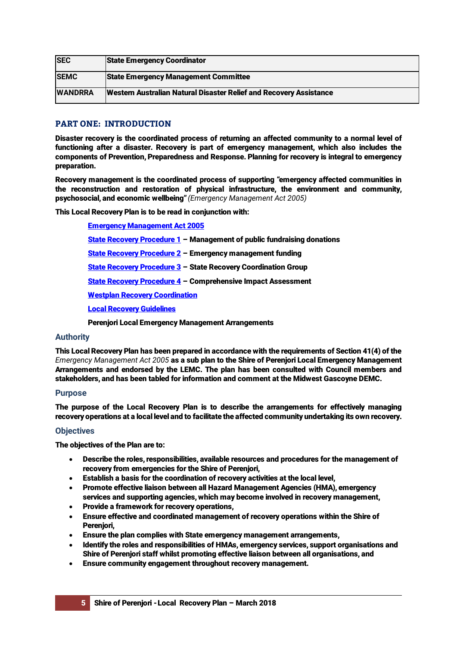| <b>SEC</b>     | <b>State Emergency Coordinator</b>                                        |
|----------------|---------------------------------------------------------------------------|
| <b>SEMC</b>    | <b>State Emergency Management Committee</b>                               |
| <b>WANDRRA</b> | <b>Western Australian Natural Disaster Relief and Recovery Assistance</b> |

# **PART ONE: INTRODUCTION**

Disaster recovery is the coordinated process of returning an affected community to a normal level of functioning after a disaster. Recovery is part of emergency management, which also includes the components of Prevention, Preparedness and Response. Planning for recovery is integral to emergency preparation.

Recovery management is the coordinated process of supporting "emergency affected communities in the reconstruction and restoration of physical infrastructure, the environment and community, psychosocial, and economic wellbeing" *(Emergency Management Act 2005)*

This Local Recovery Plan is to be read in conjunction with:

[Emergency Management Act 2005](http://www.slp.wa.gov.au/pco/prod/FileStore.nsf/Documents/MRDocument:26057P/$FILE/Emergency%20Management%20Act%202005%20-%20%5b00-f0-00%5d.pdf?OpenElement) [State Recovery Procedure 1](https://www.semc.wa.gov.au/Documents/Resources/Legislation,%20Policy,%20Plans,%20Procedure%20and%20Guidelines/Procedure/StateEMProcedure.pdf) – Management of public fundraising donations [State Recovery Procedure 2](https://www.semc.wa.gov.au/Documents/Resources/Legislation,%20Policy,%20Plans,%20Procedure%20and%20Guidelines/Procedure/StateEMProcedure.pdf) – Emergency management funding [State Recovery Procedure 3](https://www.semc.wa.gov.au/Documents/Resources/Legislation,%20Policy,%20Plans,%20Procedure%20and%20Guidelines/Procedure/StateEMProcedure.pdf) – State Recovery Coordination Group [State Recovery Procedure 4](https://www.semc.wa.gov.au/Documents/Resources/Legislation,%20Policy,%20Plans,%20Procedure%20and%20Guidelines/Procedure/StateEMProcedure.pdf) - Comprehensive Impact Assessment [Westplan Recovery Coordination](https://www.semc.wa.gov.au/Pages/Westplans.aspx) [Local Recovery Guidelines](https://www.semc.wa.gov.au/resources/legislation-and-policy-framework/guidelines)

Perenjori Local Emergency Management Arrangements

#### **Authority**

This Local Recovery Plan has been prepared in accordance with the requirements of Section 41(4) of the *Emergency Management Act 2005* as a sub plan to the Shire of Perenjori Local Emergency Management Arrangements and endorsed by the LEMC. The plan has been consulted with Council members and stakeholders, and has been tabled for information and comment at the Midwest Gascoyne DEMC.

#### **Purpose**

The purpose of the Local Recovery Plan is to describe the arrangements for effectively managing recovery operations at a local level and to facilitate the affected community undertaking its own recovery.

#### **Objectives**

The objectives of the Plan are to:

- Describe the roles, responsibilities, available resources and procedures for the management of recovery from emergencies for the Shire of Perenjori,
- Establish a basis for the coordination of recovery activities at the local level,
- Promote effective liaison between all Hazard Management Agencies (HMA), emergency services and supporting agencies, which may become involved in recovery management,
- Provide a framework for recovery operations,
- Ensure effective and coordinated management of recovery operations within the Shire of Pereniori.
- Ensure the plan complies with State emergency management arrangements,
- Identify the roles and responsibilities of HMAs, emergency services, support organisations and Shire of Perenjori staff whilst promoting effective liaison between all organisations, and
- Ensure community engagement throughout recovery management.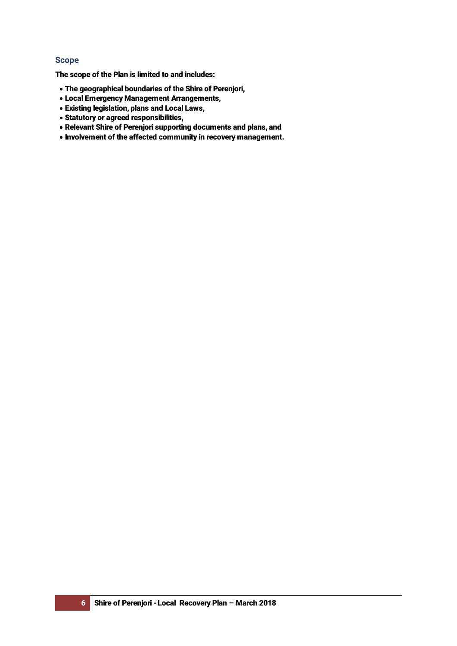#### **Scope**

The scope of the Plan is limited to and includes:

- The geographical boundaries of the Shire of Perenjori,
- Local Emergency Management Arrangements,
- Existing legislation, plans and Local Laws,
- Statutory or agreed responsibilities,
- Relevant Shire of Perenjori supporting documents and plans, and
- Involvement of the affected community in recovery management.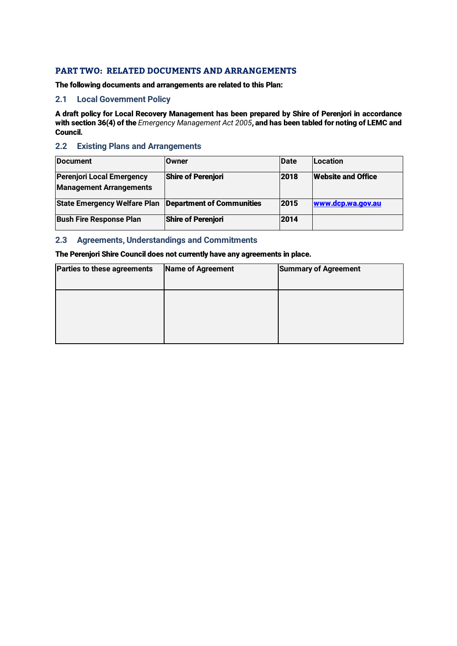# **PART TWO: RELATED DOCUMENTS AND ARRANGEMENTS**

The following documents and arrangements are related to this Plan:

# **2.1 Local Government Policy**

A draft policy for Local Recovery Management has been prepared by Shire of Perenjori in accordance with section 36(4) of the *Emergency Management Act 2005*, and has been tabled for noting of LEMC and Council.

# **2.2 Existing Plans and Arrangements**

| Document                                                           | Owner                     | <b>Date</b> | <b>Location</b>           |
|--------------------------------------------------------------------|---------------------------|-------------|---------------------------|
| <b>Perenjori Local Emergency</b><br><b>Management Arrangements</b> | <b>Shire of Perenjori</b> | 2018        | <b>Website and Office</b> |
| State Emergency Welfare Plan   Department of Communities           |                           | 2015        | www.dcp.wa.gov.au         |
| <b>Bush Fire Response Plan</b>                                     | <b>Shire of Perenjori</b> | 2014        |                           |

# **2.3 Agreements, Understandings and Commitments**

The Perenjori Shire Council does not currently have any agreements in place.

| Parties to these agreements | Name of Agreement | <b>Summary of Agreement</b> |
|-----------------------------|-------------------|-----------------------------|
|                             |                   |                             |
|                             |                   |                             |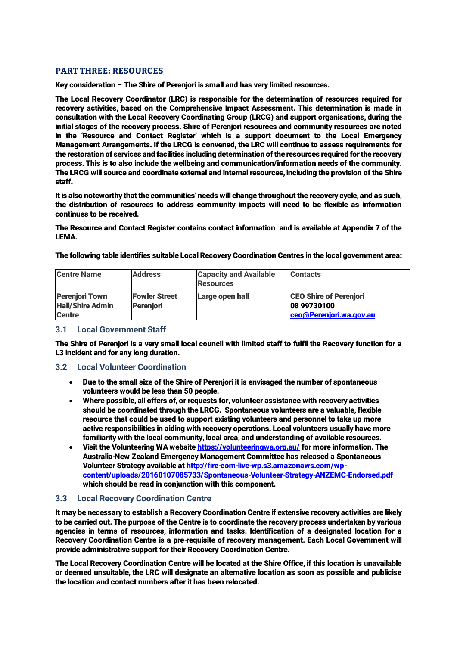# **PART THREE: RESOURCES**

Key consideration – The Shire of Perenjori is small and has very limited resources.

The Local Recovery Coordinator (LRC) is responsible for the determination of resources required for recovery activities, based on the Comprehensive Impact Assessment. This determination is made in consultation with the Local Recovery Coordinating Group (LRCG) and support organisations, during the initial stages of the recovery process. Shire of Perenjori resources and community resources are noted in the 'Resource and Contact Register' which is a support document to the Local Emergency Management Arrangements. If the LRCG is convened, the LRC will continue to assess requirements for the restoration of services and facilities including determination of the resources required for the recovery process. This is to also include the wellbeing and communication/information needs of the community. The LRCG will source and coordinate external and internal resources, including the provision of the Shire staff.

It is also noteworthy that the communities' needs will change throughout the recovery cycle, and as such, the distribution of resources to address community impacts will need to be flexible as information continues to be received.

The Resource and Contact Register contains contact information and is available at Appendix 7 of the LEMA.

| The following table identifies suitable Local Recovery Coordination Centres in the local government area: |  |  |
|-----------------------------------------------------------------------------------------------------------|--|--|
|                                                                                                           |  |  |
|                                                                                                           |  |  |
|                                                                                                           |  |  |

| <b>Centre Name</b>                                                | <b>Address</b>                           | <b>Capacity and Available</b><br><b>Resources</b> | <b>Contacts</b>                                                         |
|-------------------------------------------------------------------|------------------------------------------|---------------------------------------------------|-------------------------------------------------------------------------|
| <b>Perenjori Town</b><br><b>Hall/Shire Admin</b><br><b>Centre</b> | <b>Fowler Street</b><br><b>Perenjori</b> | Large open hall                                   | <b>CEO Shire of Perenjori</b><br>08 99730100<br>ceo@Perenjori.wa.gov.au |

#### **3.1 Local Government Staff**

The Shire of Perenjori is a very small local council with limited staff to fulfil the Recovery function for a L3 incident and for any long duration.

#### **3.2 Local Volunteer Coordination**

- Due to the small size of the Shire of Perenjori it is envisaged the number of spontaneous volunteers would be less than 50 people.
- Where possible, all offers of, or requests for, volunteer assistance with recovery activities should be coordinated through the LRCG. Spontaneous volunteers are a valuable, flexible resource that could be used to support existing volunteers and personnel to take up more active responsibilities in aiding with recovery operations. Local volunteers usually have more familiarity with the local community, local area, and understanding of available resources.
- Visit the Volunteering WA website <https://volunteeringwa.org.au/> for more information. The Australia-New Zealand Emergency Management Committee has released a Spontaneous Volunteer Strategy available at [http://fire-com-live-wp.s3.amazonaws.com/wp](http://fire-com-live-wp.s3.amazonaws.com/wp-content/uploads/20160107085733/Spontaneous-Volunteer-Strategy-ANZEMC-Endorsed.pdf)[content/uploads/20160107085733/Spontaneous-Volunteer-Strategy-ANZEMC-Endorsed.pdf](http://fire-com-live-wp.s3.amazonaws.com/wp-content/uploads/20160107085733/Spontaneous-Volunteer-Strategy-ANZEMC-Endorsed.pdf) which should be read in conjunction with this component.

#### **3.3 Local Recovery Coordination Centre**

It may be necessary to establish a Recovery Coordination Centre if extensive recovery activities are likely to be carried out. The purpose of the Centre is to coordinate the recovery process undertaken by various agencies in terms of resources, information and tasks. Identification of a designated location for a Recovery Coordination Centre is a pre-requisite of recovery management. Each Local Government will provide administrative support for their Recovery Coordination Centre.

The Local Recovery Coordination Centre will be located at the Shire Office, if this location is unavailable or deemed unsuitable, the LRC will designate an alternative location as soon as possible and publicise the location and contact numbers after it has been relocated.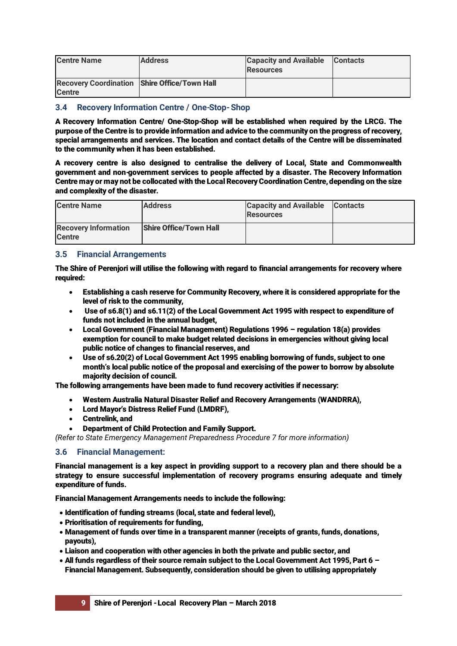| <b>Centre Name</b>                                  | <b>Address</b> | <b>Capacity and Available</b><br><b>Resources</b> | <b>Contacts</b> |
|-----------------------------------------------------|----------------|---------------------------------------------------|-----------------|
| <b>Recovery Coordination Shire Office/Town Hall</b> |                |                                                   |                 |
| <b>Centre</b>                                       |                |                                                   |                 |

# **3.4 Recovery Information Centre / One-Stop-Shop**

A Recovery Information Centre/ One-Stop-Shop will be established when required by the LRCG. The purpose of the Centre is to provide information and advice to the community on the progress of recovery, special arrangements and services. The location and contact details of the Centre will be disseminated to the community when it has been established.

A recovery centre is also designed to centralise the delivery of Local, State and Commonwealth government and non-government services to people affected by a disaster. The Recovery Information Centre may or may not be collocated with the Local Recovery Coordination Centre, depending on the size and complexity of the disaster.

| <b>Centre Name</b>                           | <b>Address</b>                | <b>Capacity and Available</b><br><b>Resources</b> | <b>Contacts</b> |
|----------------------------------------------|-------------------------------|---------------------------------------------------|-----------------|
| <b>Recovery Information</b><br><b>Centre</b> | <b>Shire Office/Town Hall</b> |                                                   |                 |

# **3.5 Financial Arrangements**

The Shire of Perenjori will utilise the following with regard to financial arrangements for recovery where required:

- Establishing a cash reserve for Community Recovery, where it is considered appropriate for the level of risk to the community,
- Use of s6.8(1) and s6.11(2) of the Local Government Act 1995 with respect to expenditure of funds not included in the annual budget,
- Local Government (Financial Management) Regulations 1996 regulation 18(a) provides exemption for council to make budget related decisions in emergencies without giving local public notice of changes to financial reserves, and
- Use of s6.20(2) of Local Government Act 1995 enabling borrowing of funds, subject to one month's local public notice of the proposal and exercising of the power to borrow by absolute majority decision of council.

The following arrangements have been made to fund recovery activities if necessary:

- Western Australia Natural Disaster Relief and Recovery Arrangements (WANDRRA),
- Lord Mayor's Distress Relief Fund (LMDRF),
- Centrelink, and
- Department of Child Protection and Family Support.

*(Refer to State Emergency Management Preparedness Procedure 7 for more information)* 

#### **3.6 Financial Management:**

Financial management is a key aspect in providing support to a recovery plan and there should be a strategy to ensure successful implementation of recovery programs ensuring adequate and timely expenditure of funds.

Financial Management Arrangements needs to include the following:

- Identification of funding streams (local, state and federal level),
- Prioritisation of requirements for funding,
- Management of funds over time in a transparent manner (receipts of grants, funds, donations, payouts),
- Liaison and cooperation with other agencies in both the private and public sector, and
- All funds regardless of their source remain subject to the Local Government Act 1995, Part 6 Financial Management. Subsequently, consideration should be given to utilising appropriately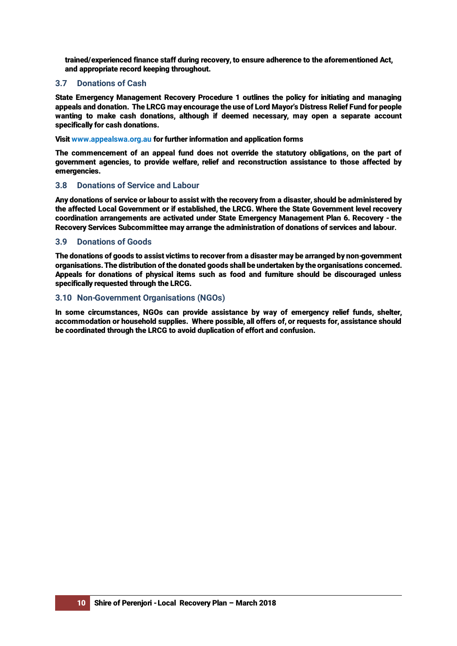trained/experienced finance staff during recovery, to ensure adherence to the aforementioned Act, and appropriate record keeping throughout.

# **3.7 Donations of Cash**

State Emergency Management Recovery Procedure 1 outlines the policy for initiating and managing appeals and donation. The LRCG may encourage the use of Lord Mayor's Distress Relief Fund for people wanting to make cash donations, although if deemed necessary, may open a separate account specifically for cash donations.

Visit **[www.appealswa.org.au](http://www.appealswa.org.au/)** for further information and application forms

The commencement of an appeal fund does not override the statutory obligations, on the part of government agencies, to provide welfare, relief and reconstruction assistance to those affected by emergencies.

#### **3.8 Donations of Service and Labour**

Any donations of service or labour to assist with the recovery from a disaster, should be administered by the affected Local Government or if established, the LRCG. Where the State Government level recovery coordination arrangements are activated under State Emergency Management Plan 6. Recovery - the Recovery Services Subcommittee may arrange the administration of donations of services and labour**.** 

#### **3.9 Donations of Goods**

The donations of goods to assist victims to recover from a disaster may be arranged by non-government organisations. The distribution of the donated goods shall be undertaken by the organisations concerned. Appeals for donations of physical items such as food and furniture should be discouraged unless specifically requested through the LRCG.

#### **3.10 Non-Government Organisations (NGOs)**

In some circumstances, NGOs can provide assistance by way of emergency relief funds, shelter, accommodation or household supplies. Where possible, all offers of, or requests for, assistance should be coordinated through the LRCG to avoid duplication of effort and confusion.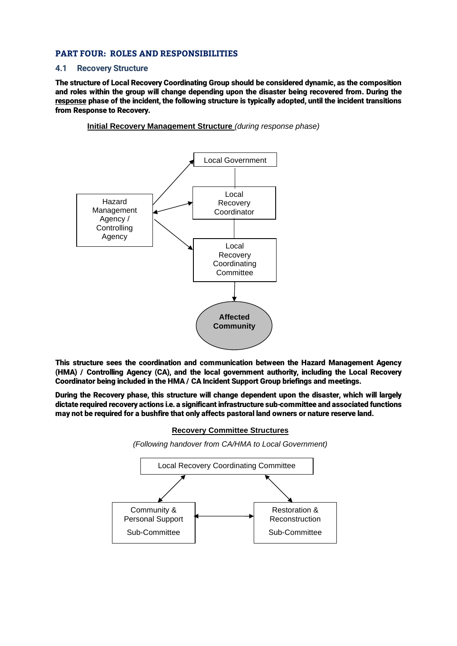### **PART FOUR: ROLES AND RESPONSIBILITIES**

#### **4.1 Recovery Structure**

The structure of Local Recovery Coordinating Group should be considered dynamic, as the composition and roles within the group will change depending upon the disaster being recovered from. During the response phase of the incident, the following structure is typically adopted, until the incident transitions from Response to Recovery.

**Initial Recovery Management Structure** *(during response phase)*



This structure sees the coordination and communication between the Hazard Management Agency (HMA) / Controlling Agency (CA), and the local government authority, including the Local Recovery Coordinator being included in the HMA / CA Incident Support Group briefings and meetings.

During the Recovery phase, this structure will change dependent upon the disaster, which will largely dictate required recovery actions i.e. a significant infrastructure sub-committee and associated functions may not be required for a bushfire that only affects pastoral land owners or nature reserve land.

#### **Recovery Committee Structures**

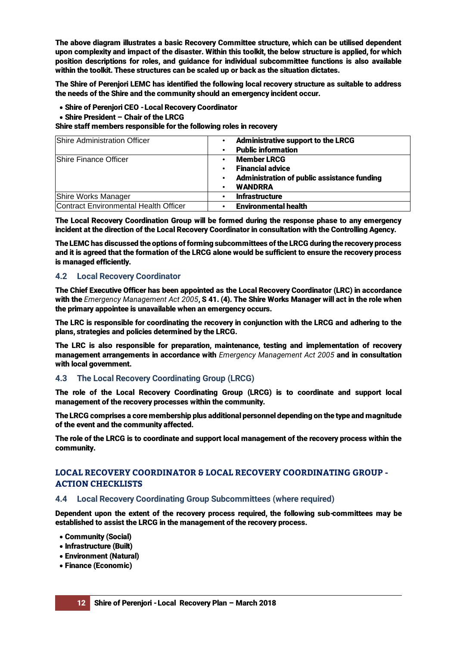The above diagram illustrates a basic Recovery Committee structure, which can be utilised dependent upon complexity and impact of the disaster. Within this toolkit, the below structure is applied, for which position descriptions for roles, and guidance for individual subcommittee functions is also available within the toolkit. These structures can be scaled up or back as the situation dictates.

The Shire of Perenjori LEMC has identified the following local recovery structure as suitable to address the needs of the Shire and the community should an emergency incident occur.

• Shire of Perenjori CEO -Local Recovery Coordinator

• Shire President – Chair of the LRCG

Shire staff members responsible for the following roles in recovery

| Shire Administration Officer          | $\bullet$ | <b>Administrative support to the LRCG</b>   |
|---------------------------------------|-----------|---------------------------------------------|
|                                       | $\bullet$ | <b>Public information</b>                   |
| Shire Finance Officer                 |           | <b>Member LRCG</b>                          |
|                                       | $\bullet$ | <b>Financial advice</b>                     |
|                                       | $\bullet$ | Administration of public assistance funding |
|                                       | ٠         | <b>WANDRRA</b>                              |
| Shire Works Manager                   | ٠         | <b>Infrastructure</b>                       |
| Contract Environmental Health Officer | ٠         | <b>Environmental health</b>                 |

The Local Recovery Coordination Group will be formed during the response phase to any emergency incident at the direction of the Local Recovery Coordinator in consultation with the Controlling Agency.

The LEMC has discussed the options of forming subcommittees of the LRCG during the recovery process and it is agreed that the formation of the LRCG alone would be sufficient to ensure the recovery process is managed efficiently.

#### **4.2 Local Recovery Coordinator**

The Chief Executive Officer has been appointed as the Local Recovery Coordinator (LRC) in accordance with the *Emergency Management Act 2005*, S 41. (4). The Shire Works Manager will act in the role when the primary appointee is unavailable when an emergency occurs.

The LRC is responsible for coordinating the recovery in conjunction with the LRCG and adhering to the plans, strategies and policies determined by the LRCG.

The LRC is also responsible for preparation, maintenance, testing and implementation of recovery management arrangements in accordance with *Emergency Management Act 2005* and in consultation with local government.

#### **4.3 The Local Recovery Coordinating Group (LRCG)**

The role of the Local Recovery Coordinating Group (LRCG) is to coordinate and support local management of the recovery processes within the community.

The LRCG comprises a core membership plus additional personnel depending on the type and magnitude of the event and the community affected.

The role of the LRCG is to coordinate and support local management of the recovery process within the community.

# **LOCAL RECOVERY COORDINATOR & LOCAL RECOVERY COORDINATING GROUP - ACTION CHECKLISTS**

#### **4.4 Local Recovery Coordinating Group Subcommittees (where required)**

Dependent upon the extent of the recovery process required, the following sub-committees may be established to assist the LRCG in the management of the recovery process.

- Community (Social)
- Infrastructure (Built)
- Environment (Natural)
- Finance (Economic)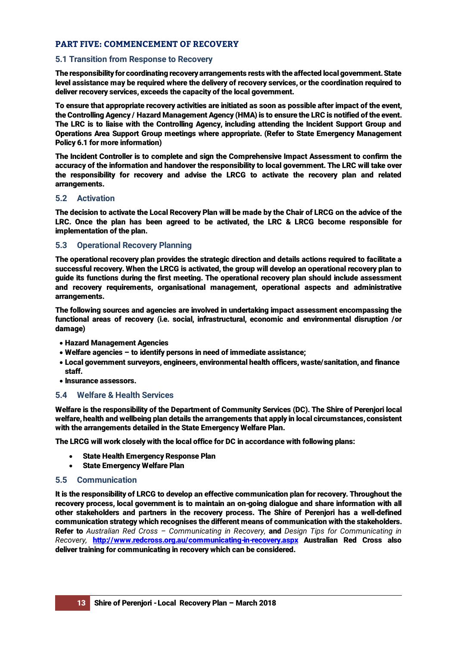### **PART FIVE: COMMENCEMENT OF RECOVERY**

#### **5.1 Transition from Response to Recovery**

The responsibility for coordinating recovery arrangements rests with the affected local government. State level assistance may be required where the delivery of recovery services, or the coordination required to deliver recovery services, exceeds the capacity of the local government.

To ensure that appropriate recovery activities are initiated as soon as possible after impact of the event, the Controlling Agency / Hazard Management Agency (HMA) is to ensure the LRC is notified of the event. The LRC is to liaise with the Controlling Agency, including attending the Incident Support Group and Operations Area Support Group meetings where appropriate. (Refer to State Emergency Management Policy 6.1 for more information)

The Incident Controller is to complete and sign the Comprehensive Impact Assessment to confirm the accuracy of the information and handover the responsibility to local government. The LRC will take over the responsibility for recovery and advise the LRCG to activate the recovery plan and related arrangements.

#### **5.2 Activation**

The decision to activate the Local Recovery Plan will be made by the Chair of LRCG on the advice of the LRC. Once the plan has been agreed to be activated, the LRC & LRCG become responsible for implementation of the plan.

#### **5.3 Operational Recovery Planning**

The operational recovery plan provides the strategic direction and details actions required to facilitate a successful recovery. When the LRCG is activated, the group will develop an operational recovery plan to guide its functions during the first meeting. The operational recovery plan should include assessment and recovery requirements, organisational management, operational aspects and administrative arrangements.

The following sources and agencies are involved in undertaking impact assessment encompassing the functional areas of recovery (i.e. social, infrastructural, economic and environmental disruption /or damage)

- Hazard Management Agencies
- Welfare agencies to identify persons in need of immediate assistance;
- Local government surveyors, engineers, environmental health officers, waste/sanitation, and finance staff.
- Insurance assessors.

#### **5.4 Welfare & Health Services**

Welfare is the responsibility of the Department of Community Services (DC). The Shire of Perenjori local welfare, health and wellbeing plan details the arrangements that apply in local circumstances, consistent with the arrangements detailed in the State Emergency Welfare Plan.

The LRCG will work closely with the local office for DC in accordance with following plans:

- State Health Emergency Response Plan
- State Emergency Welfare Plan

#### **5.5 Communication**

It is the responsibility of LRCG to develop an effective communication plan for recovery. Throughout the recovery process, local government is to maintain an on-going dialogue and share information with all other stakeholders and partners in the recovery process. The Shire of Perenjori has a well-defined communication strategy which recognises the different means of communication with the stakeholders. Refer to *Australian Red Cross – Communicating in Recovery,* and *Design Tips for Communicating in Recovery,* <http://www.redcross.org.au/communicating-in-recovery.aspx> Australian Red Cross also deliver training for communicating in recovery which can be considered.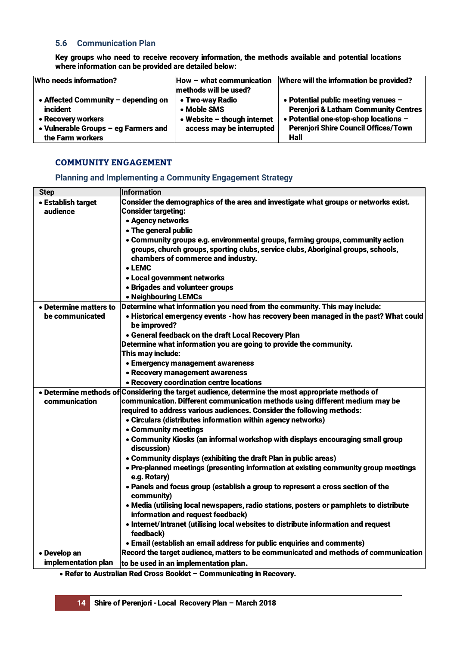# **5.6 Communication Plan**

Key groups who need to receive recovery information, the methods available and potential locations where information can be provided are detailed below:

| Who needs information?               | $\mathsf{How}$ – what communication | Where will the information be provided?         |
|--------------------------------------|-------------------------------------|-------------------------------------------------|
|                                      | methods will be used?               |                                                 |
| • Affected Community - depending on  | • Two-way Radio                     | • Potential public meeting venues $-$           |
| incident                             | • Moble SMS                         | <b>Perenjori &amp; Latham Community Centres</b> |
| • Recovery workers                   | • Website $-$ though internet       | • Potential one-stop-shop locations -           |
| • Vulnerable Groups - eg Farmers and | access may be interrupted           | <b>Perenjori Shire Council Offices/Town</b>     |
| the Farm workers                     |                                     | <b>Hall</b>                                     |

# **COMMUNITY ENGAGEMENT**

# **Planning and Implementing a Community Engagement Strategy**

| <b>Step</b>            | Information                                                                                       |
|------------------------|---------------------------------------------------------------------------------------------------|
| • Establish target     | Consider the demographics of the area and investigate what groups or networks exist.              |
| audience               | <b>Consider targeting:</b>                                                                        |
|                        | • Agency networks                                                                                 |
|                        | • The general public                                                                              |
|                        | • Community groups e.g. environmental groups, farming groups, community action                    |
|                        | groups, church groups, sporting clubs, service clubs, Aboriginal groups, schools,                 |
|                        | chambers of commerce and industry.                                                                |
|                        | $\bullet$ LEMC                                                                                    |
|                        | • Local government networks                                                                       |
|                        | • Brigades and volunteer groups                                                                   |
|                        | • Neighbouring LEMCs                                                                              |
| • Determine matters to | Determine what information you need from the community. This may include:                         |
| be communicated        | . Historical emergency events - how has recovery been managed in the past? What could             |
|                        | be improved?                                                                                      |
|                        | • General feedback on the draft Local Recovery Plan                                               |
|                        | Determine what information you are going to provide the community.                                |
|                        | This may include:                                                                                 |
|                        | • Emergency management awareness                                                                  |
|                        | • Recovery management awareness                                                                   |
|                        | • Recovery coordination centre locations                                                          |
|                        | . Determine methods of Considering the target audience, determine the most appropriate methods of |
| communication          | communication. Different communication methods using different medium may be                      |
|                        | required to address various audiences. Consider the following methods:                            |
|                        | • Circulars (distributes information within agency networks)                                      |
|                        | • Community meetings                                                                              |
|                        | • Community Kiosks (an informal workshop with displays encouraging small group<br>discussion)     |
|                        | • Community displays (exhibiting the draft Plan in public areas)                                  |
|                        | • Pre-planned meetings (presenting information at existing community group meetings               |
|                        | e.g. Rotary)                                                                                      |
|                        | . Panels and focus group (establish a group to represent a cross section of the<br>community)     |
|                        | . Media (utilising local newspapers, radio stations, posters or pamphlets to distribute           |
|                        | information and request feedback)                                                                 |
|                        | . Internet/Intranet (utilising local websites to distribute information and request               |
|                        | feedback)                                                                                         |
|                        | . Email (establish an email address for public enquiries and comments)                            |
| • Develop an           | Record the target audience, matters to be communicated and methods of communication               |
| implementation plan    | to be used in an implementation plan.                                                             |

• Refer to Australian Red Cross Booklet – Communicating in Recovery.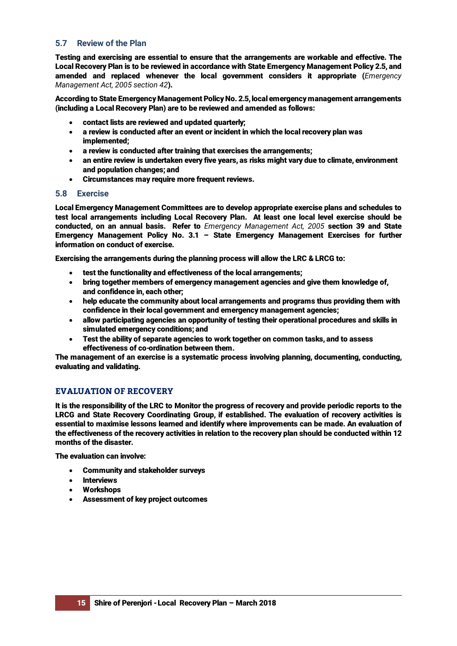# **5.7 Review of the Plan**

Testing and exercising are essential to ensure that the arrangements are workable and effective. The Local Recovery Plan is to be reviewed in accordance with State Emergency Management Policy 2.5, and amended and replaced whenever the local government considers it appropriate (*Emergency Management Act, 2005 section 42*).

According to State Emergency Management Policy No. 2.5, local emergency management arrangements (including a Local Recovery Plan) are to be reviewed and amended as follows:

- contact lists are reviewed and updated quarterly;
- a review is conducted after an event or incident in which the local recovery plan was implemented;
- a review is conducted after training that exercises the arrangements:
- an entire review is undertaken every five years, as risks might vary due to climate, environment and population changes; and
- Circumstances may require more frequent reviews.

#### **5.8 Exercise**

Local Emergency Management Committees are to develop appropriate exercise plans and schedules to test local arrangements including Local Recovery Plan. At least one local level exercise should be conducted, on an annual basis. Refer to *Emergency Management Act, 2005* section 39 and State Emergency Management Policy No. 3.1 – State Emergency Management Exercises for further information on conduct of exercise.

Exercising the arrangements during the planning process will allow the LRC & LRCG to:

- test the functionality and effectiveness of the local arrangements;
- bring together members of emergency management agencies and give them knowledge of, and confidence in, each other;
- help educate the community about local arrangements and programs thus providing them with confidence in their local government and emergency management agencies;
- allow participating agencies an opportunity of testing their operational procedures and skills in simulated emergency conditions; and
- Test the ability of separate agencies to work together on common tasks, and to assess effectiveness of co-ordination between them.

The management of an exercise is a systematic process involving planning, documenting, conducting, evaluating and validating.

# **EVALUATION OF RECOVERY**

It is the responsibility of the LRC to Monitor the progress of recovery and provide periodic reports to the LRCG and State Recovery Coordinating Group, if established. The evaluation of recovery activities is essential to maximise lessons learned and identify where improvements can be made. An evaluation of the effectiveness of the recovery activities in relation to the recovery plan should be conducted within 12 months of the disaster.

The evaluation can involve:

- Community and stakeholder surveys
- **Interviews**
- Workshops
- Assessment of key project outcomes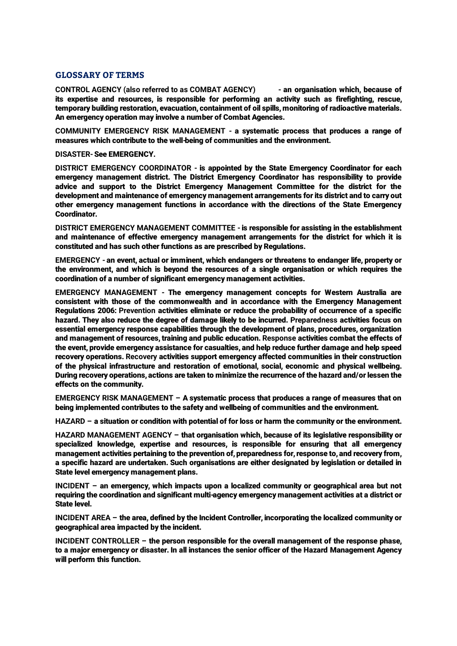#### **GLOSSARY OF TERMS**

**CONTROL AGENCY (also referred to as COMBAT AGENCY) -** an organisation which, because of its expertise and resources, is responsible for performing an activity such as firefighting, rescue, temporary building restoration, evacuation, containment of oil spills, monitoring of radioactive materials. An emergency operation may involve a number of Combat Agencies.

**COMMUNITY EMERGENCY RISK MANAGEMENT -** a systematic process that produces a range of measures which contribute to the well-being of communities and the environment.

**DISASTER-**See EMERGENCY.

**DISTRICT EMERGENCY COORDINATOR -** is appointed by the State Emergency Coordinator for each emergency management district. The District Emergency Coordinator has responsibility to provide advice and support to the District Emergency Management Committee for the district for the development and maintenance of emergency management arrangements for its district and to carry out other emergency management functions in accordance with the directions of the State Emergency Coordinator.

**DISTRICT EMERGENCY MANAGEMENT COMMITTEE -**is responsible for assisting in the establishment and maintenance of effective emergency management arrangements for the district for which it is constituted and has such other functions as are prescribed by Regulations.

**EMERGENCY -** an event, actual or imminent, which endangers or threatens to endanger life, property or the environment, and which is beyond the resources of a single organisation or which requires the coordination of a number of significant emergency management activities.

**EMERGENCY MANAGEMENT -** The emergency management concepts for Western Australia are consistent with those of the commonwealth and in accordance with the Emergency Management Regulations 2006: **Prevention** activities eliminate or reduce the probability of occurrence of a specific hazard. They also reduce the degree of damage likely to be incurred. **Preparedness** activities focus on essential emergency response capabilities through the development of plans, procedures, organization and management of resources, training and public education. **Response** activities combat the effects of the event, provide emergency assistance for casualties, and help reduce further damage and help speed recovery operations. **Recovery** activities support emergency affected communities in their construction of the physical infrastructure and restoration of emotional, social, economic and physical wellbeing. During recovery operations, actions are taken to minimize the recurrence of the hazard and/or lessen the effects on the community.

**EMERGENCY RISK MANAGEMENT –** A systematic process that produces a range of measures that on being implemented contributes to the safety and wellbeing of communities and the environment.

**HAZARD –** a situation or condition with potential of for loss or harm the community or the environment.

**HAZARD MANAGEMENT AGENCY –** that organisation which, because of its legislative responsibility or specialized knowledge, expertise and resources, is responsible for ensuring that all emergency management activities pertaining to the prevention of, preparedness for, response to, and recovery from, a specific hazard are undertaken. Such organisations are either designated by legislation or detailed in State level emergency management plans.

**INCIDENT –** an emergency, which impacts upon a localized community or geographical area but not requiring the coordination and significant multi-agency emergency management activities at a district or State level.

**INCIDENT AREA –** the area, defined by the Incident Controller, incorporating the localized community or geographical area impacted by the incident.

**INCIDENT CONTROLLER –** the person responsible for the overall management of the response phase, to a major emergency or disaster. In all instances the senior officer of the Hazard Management Agency will perform this function.